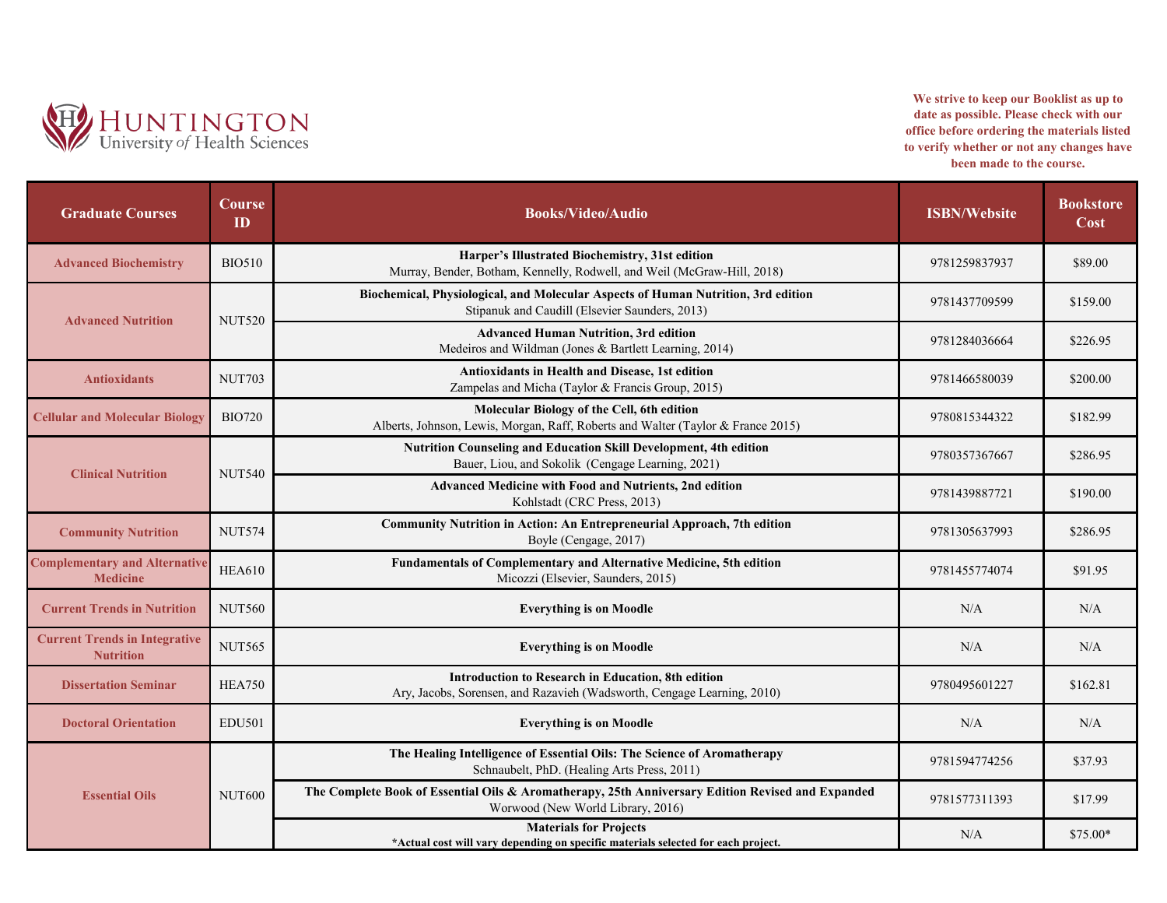

**We strive to keep our Booklist as up to date as possible. Please check with our office before ordering the materials listed to verify whether or not any changes have been made to the course.**

| <b>Graduate Courses</b>                                  | Course<br>ID  | <b>Books/Video/Audio</b>                                                                                                               | <b>ISBN/Website</b> | <b>Bookstore</b><br>Cost |
|----------------------------------------------------------|---------------|----------------------------------------------------------------------------------------------------------------------------------------|---------------------|--------------------------|
| <b>Advanced Biochemistry</b>                             | <b>BIO510</b> | Harper's Illustrated Biochemistry, 31st edition<br>Murray, Bender, Botham, Kennelly, Rodwell, and Weil (McGraw-Hill, 2018)             | 9781259837937       | \$89.00                  |
| <b>Advanced Nutrition</b>                                | <b>NUT520</b> | Biochemical, Physiological, and Molecular Aspects of Human Nutrition, 3rd edition<br>Stipanuk and Caudill (Elsevier Saunders, 2013)    | 9781437709599       | \$159.00                 |
|                                                          |               | <b>Advanced Human Nutrition, 3rd edition</b><br>Medeiros and Wildman (Jones & Bartlett Learning, 2014)                                 | 9781284036664       | \$226.95                 |
| <b>Antioxidants</b>                                      | <b>NUT703</b> | <b>Antioxidants in Health and Disease, 1st edition</b><br>Zampelas and Micha (Taylor & Francis Group, 2015)                            | 9781466580039       | \$200.00                 |
| <b>Cellular and Molecular Biology</b>                    | <b>BIO720</b> | Molecular Biology of the Cell, 6th edition<br>Alberts, Johnson, Lewis, Morgan, Raff, Roberts and Walter (Taylor & France 2015)         | 9780815344322       | \$182.99                 |
| <b>Clinical Nutrition</b>                                | <b>NUT540</b> | Nutrition Counseling and Education Skill Development, 4th edition<br>Bauer, Liou, and Sokolik (Cengage Learning, 2021)                 | 9780357367667       | \$286.95                 |
|                                                          |               | Advanced Medicine with Food and Nutrients, 2nd edition<br>Kohlstadt (CRC Press, 2013)                                                  | 9781439887721       | \$190.00                 |
| <b>Community Nutrition</b>                               | <b>NUT574</b> | Community Nutrition in Action: An Entrepreneurial Approach, 7th edition<br>Boyle (Cengage, 2017)                                       | 9781305637993       | \$286.95                 |
| <b>Complementary and Alternative</b><br><b>Medicine</b>  | <b>HEA610</b> | Fundamentals of Complementary and Alternative Medicine, 5th edition<br>Micozzi (Elsevier, Saunders, 2015)                              | 9781455774074       | \$91.95                  |
| <b>Current Trends in Nutrition</b>                       | <b>NUT560</b> | <b>Everything is on Moodle</b>                                                                                                         | N/A                 | N/A                      |
| <b>Current Trends in Integrative</b><br><b>Nutrition</b> | <b>NUT565</b> | <b>Everything is on Moodle</b>                                                                                                         | N/A                 | N/A                      |
| <b>Dissertation Seminar</b>                              | <b>HEA750</b> | Introduction to Research in Education, 8th edition<br>Ary, Jacobs, Sorensen, and Razavieh (Wadsworth, Cengage Learning, 2010)          | 9780495601227       | \$162.81                 |
| <b>Doctoral Orientation</b>                              | <b>EDU501</b> | <b>Everything is on Moodle</b>                                                                                                         | N/A                 | N/A                      |
| <b>Essential Oils</b>                                    | <b>NUT600</b> | The Healing Intelligence of Essential Oils: The Science of Aromatherapy<br>Schnaubelt, PhD. (Healing Arts Press, 2011)                 | 9781594774256       | \$37.93                  |
|                                                          |               | The Complete Book of Essential Oils & Aromatherapy, 25th Anniversary Edition Revised and Expanded<br>Worwood (New World Library, 2016) | 9781577311393       | \$17.99                  |
|                                                          |               | <b>Materials for Projects</b><br>*Actual cost will vary depending on specific materials selected for each project.                     | N/A                 | $$75.00*$                |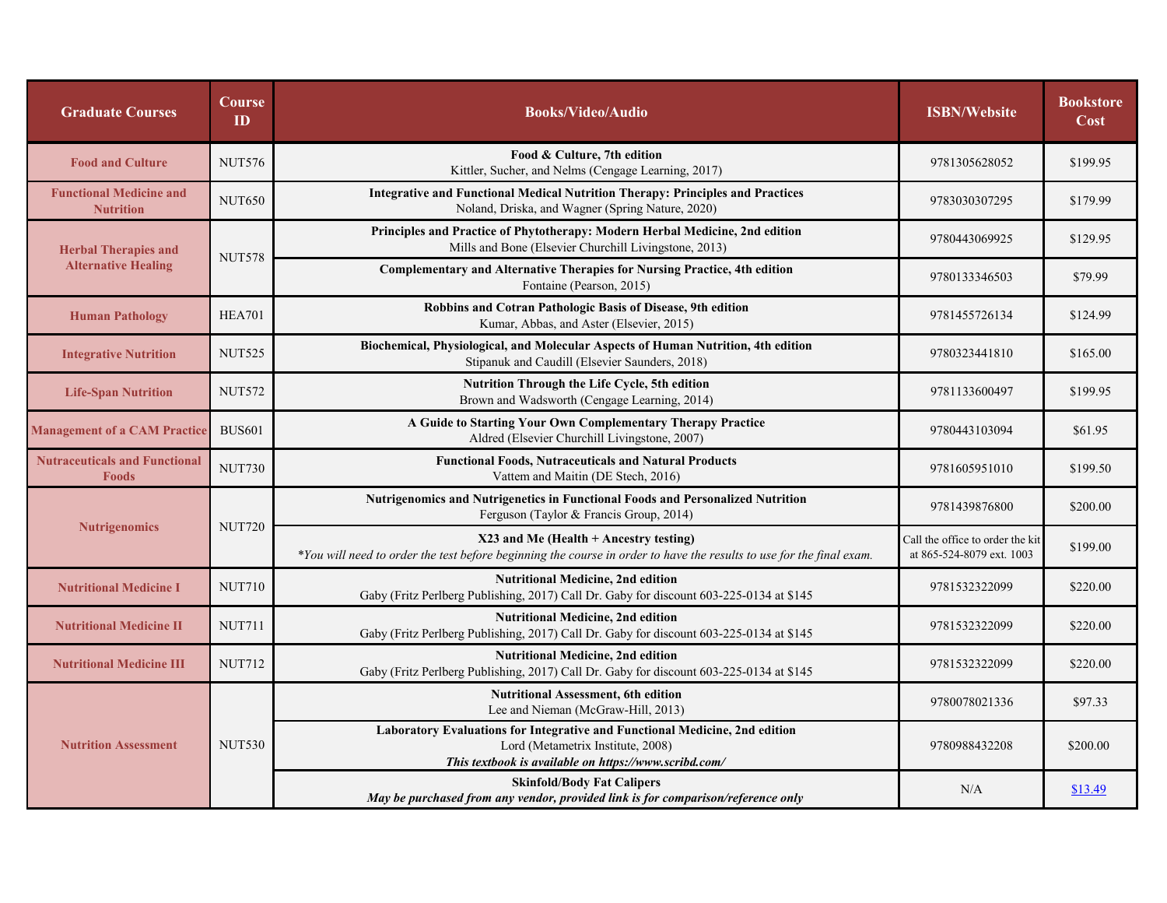| <b>Graduate Courses</b>                                   | Course<br>ID  | <b>Books/Video/Audio</b>                                                                                                                                                  | <b>ISBN/Website</b>                                           | <b>Bookstore</b><br>Cost |
|-----------------------------------------------------------|---------------|---------------------------------------------------------------------------------------------------------------------------------------------------------------------------|---------------------------------------------------------------|--------------------------|
| <b>Food and Culture</b>                                   | <b>NUT576</b> | Food & Culture, 7th edition<br>Kittler, Sucher, and Nelms (Cengage Learning, 2017)                                                                                        | 9781305628052                                                 | \$199.95                 |
| <b>Functional Medicine and</b><br><b>Nutrition</b>        | <b>NUT650</b> | <b>Integrative and Functional Medical Nutrition Therapy: Principles and Practices</b><br>Noland, Driska, and Wagner (Spring Nature, 2020)                                 | 9783030307295                                                 | \$179.99                 |
| <b>Herbal Therapies and</b><br><b>Alternative Healing</b> | <b>NUT578</b> | Principles and Practice of Phytotherapy: Modern Herbal Medicine, 2nd edition<br>Mills and Bone (Elsevier Churchill Livingstone, 2013)                                     | 9780443069925                                                 | \$129.95                 |
|                                                           |               | Complementary and Alternative Therapies for Nursing Practice, 4th edition<br>Fontaine (Pearson, 2015)                                                                     | 9780133346503                                                 | \$79.99                  |
| <b>Human Pathology</b>                                    | <b>HEA701</b> | Robbins and Cotran Pathologic Basis of Disease, 9th edition<br>Kumar, Abbas, and Aster (Elsevier, 2015)                                                                   | 9781455726134                                                 | \$124.99                 |
| <b>Integrative Nutrition</b>                              | <b>NUT525</b> | Biochemical, Physiological, and Molecular Aspects of Human Nutrition, 4th edition<br>Stipanuk and Caudill (Elsevier Saunders, 2018)                                       | 9780323441810                                                 | \$165.00                 |
| <b>Life-Span Nutrition</b>                                | <b>NUT572</b> | Nutrition Through the Life Cycle, 5th edition<br>Brown and Wadsworth (Cengage Learning, 2014)                                                                             | 9781133600497                                                 | \$199.95                 |
| <b>Management of a CAM Practice</b>                       | <b>BUS601</b> | A Guide to Starting Your Own Complementary Therapy Practice<br>Aldred (Elsevier Churchill Livingstone, 2007)                                                              | 9780443103094                                                 | \$61.95                  |
| <b>Nutraceuticals and Functional</b><br><b>Foods</b>      | <b>NUT730</b> | <b>Functional Foods, Nutraceuticals and Natural Products</b><br>Vattem and Maitin (DE Stech, 2016)                                                                        | 9781605951010                                                 | \$199.50                 |
| <b>Nutrigenomics</b>                                      | <b>NUT720</b> | <b>Nutrigenomics and Nutrigenetics in Functional Foods and Personalized Nutrition</b><br>Ferguson (Taylor & Francis Group, 2014)                                          | 9781439876800                                                 | \$200.00                 |
|                                                           |               | $X23$ and Me (Health + Ancestry testing)<br>*You will need to order the test before beginning the course in order to have the results to use for the final exam.          | Call the office to order the kit<br>at 865-524-8079 ext. 1003 | \$199.00                 |
| <b>Nutritional Medicine I</b>                             | <b>NUT710</b> | <b>Nutritional Medicine, 2nd edition</b><br>Gaby (Fritz Perlberg Publishing, 2017) Call Dr. Gaby for discount 603-225-0134 at \$145                                       | 9781532322099                                                 | \$220.00                 |
| <b>Nutritional Medicine II</b>                            | <b>NUT711</b> | <b>Nutritional Medicine, 2nd edition</b><br>Gaby (Fritz Perlberg Publishing, 2017) Call Dr. Gaby for discount 603-225-0134 at \$145                                       | 9781532322099                                                 | \$220.00                 |
| <b>Nutritional Medicine III</b>                           | <b>NUT712</b> | <b>Nutritional Medicine, 2nd edition</b><br>Gaby (Fritz Perlberg Publishing, 2017) Call Dr. Gaby for discount 603-225-0134 at \$145                                       | 9781532322099                                                 | \$220.00                 |
| <b>Nutrition Assessment</b>                               | <b>NUT530</b> | <b>Nutritional Assessment, 6th edition</b><br>Lee and Nieman (McGraw-Hill, 2013)                                                                                          | 9780078021336                                                 | \$97.33                  |
|                                                           |               | Laboratory Evaluations for Integrative and Functional Medicine, 2nd edition<br>Lord (Metametrix Institute, 2008)<br>This textbook is available on https://www.scribd.com/ | 9780988432208                                                 | \$200.00                 |
|                                                           |               | <b>Skinfold/Body Fat Calipers</b><br>May be purchased from any vendor, provided link is for comparison/reference only                                                     | N/A                                                           | \$13.49                  |